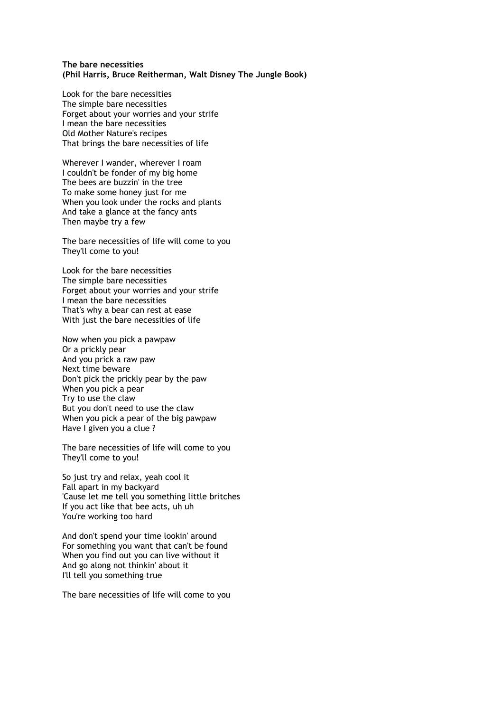## **The bare necessities (Phil Harris, Bruce Reitherman, Walt Disney The Jungle Book)**

Look for the bare necessities The simple bare necessities Forget about your worries and your strife I mean the bare necessities Old Mother Nature's recipes That brings the bare necessities of life

Wherever I wander, wherever I roam I couldn't be fonder of my big home The bees are buzzin' in the tree To make some honey just for me When you look under the rocks and plants And take a glance at the fancy ants Then maybe try a few

The bare necessities of life will come to you They'll come to you!

Look for the bare necessities The simple bare necessities Forget about your worries and your strife I mean the bare necessities That's why a bear can rest at ease With just the bare necessities of life

Now when you pick a pawpaw Or a prickly pear And you prick a raw paw Next time beware Don't pick the prickly pear by the paw When you pick a pear Try to use the claw But you don't need to use the claw When you pick a pear of the big pawpaw Have I given you a clue ?

The bare necessities of life will come to you They'll come to you!

So just try and relax, yeah cool it Fall apart in my backyard 'Cause let me tell you something little britches If you act like that bee acts, uh uh You're working too hard

And don't spend your time lookin' around For something you want that can't be found When you find out you can live without it And go along not thinkin' about it I'll tell you something true

The bare necessities of life will come to you